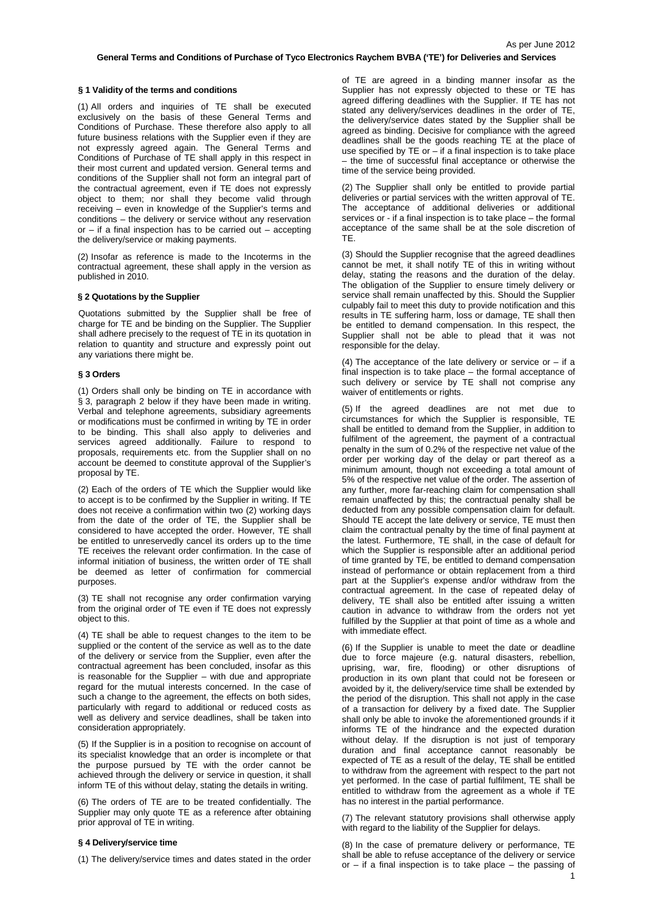## **§ 1 Validity of the terms and conditions**

(1) All orders and inquiries of TE shall be executed exclusively on the basis of these General Terms and Conditions of Purchase. These therefore also apply to all future business relations with the Supplier even if they are not expressly agreed again. The General Terms and Conditions of Purchase of TE shall apply in this respect in their most current and updated version. General terms and conditions of the Supplier shall not form an integral part of the contractual agreement, even if TE does not expressly object to them; nor shall they become valid through receiving – even in knowledge of the Supplier's terms and conditions – the delivery or service without any reservation or  $-$  if a final inspection has to be carried out  $-$  accepting the delivery/service or making payments.

(2) Insofar as reference is made to the Incoterms in the contractual agreement, these shall apply in the version as published in 2010.

### **§ 2 Quotations by the Supplier**

Quotations submitted by the Supplier shall be free of charge for TE and be binding on the Supplier. The Supplier shall adhere precisely to the request of TE in its quotation in relation to quantity and structure and expressly point out any variations there might be.

### **§ 3 Orders**

(1) Orders shall only be binding on TE in accordance with § 3, paragraph 2 below if they have been made in writing. Verbal and telephone agreements, subsidiary agreements or modifications must be confirmed in writing by TE in order to be binding. This shall also apply to deliveries and services agreed additionally. Failure to respond to proposals, requirements etc. from the Supplier shall on no account be deemed to constitute approval of the Supplier's proposal by TE.

(2) Each of the orders of TE which the Supplier would like to accept is to be confirmed by the Supplier in writing. If TE does not receive a confirmation within two (2) working days from the date of the order of TE, the Supplier shall be considered to have accepted the order. However, TE shall be entitled to unreservedly cancel its orders up to the time TE receives the relevant order confirmation. In the case of informal initiation of business, the written order of TE shall be deemed as letter of confirmation for commercial purposes.

(3) TE shall not recognise any order confirmation varying from the original order of TE even if TE does not expressly object to this.

(4) TE shall be able to request changes to the item to be supplied or the content of the service as well as to the date of the delivery or service from the Supplier, even after the contractual agreement has been concluded, insofar as this is reasonable for the Supplier – with due and appropriate regard for the mutual interests concerned. In the case of such a change to the agreement, the effects on both sides, particularly with regard to additional or reduced costs as well as delivery and service deadlines, shall be taken into consideration appropriately.

(5) If the Supplier is in a position to recognise on account of its specialist knowledge that an order is incomplete or that the purpose pursued by TE with the order cannot be achieved through the delivery or service in question, it shall inform TE of this without delay, stating the details in writing.

(6) The orders of TE are to be treated confidentially. The Supplier may only quote TE as a reference after obtaining prior approval of TE in writing.

## **§ 4 Delivery/service time**

(1) The delivery/service times and dates stated in the order

of TE are agreed in a binding manner insofar as the Supplier has not expressly objected to these or TE has agreed differing deadlines with the Supplier. If TE has not stated any delivery/services deadlines in the order of TE, the delivery/service dates stated by the Supplier shall be agreed as binding. Decisive for compliance with the agreed deadlines shall be the goods reaching TE at the place of use specified by  $TE$  or  $-\tilde{f}$  if a final inspection is to take place – the time of successful final acceptance or otherwise the time of the service being provided.

(2) The Supplier shall only be entitled to provide partial deliveries or partial services with the written approval of TE. The acceptance of additional deliveries or additional services or - if a final inspection is to take place – the formal acceptance of the same shall be at the sole discretion of TE.

(3) Should the Supplier recognise that the agreed deadlines cannot be met, it shall notify TE of this in writing without delay, stating the reasons and the duration of the delay. The obligation of the Supplier to ensure timely delivery or service shall remain unaffected by this. Should the Supplier culpably fail to meet this duty to provide notification and this results in TE suffering harm, loss or damage, TE shall then be entitled to demand compensation. In this respect, the Supplier shall not be able to plead that it was not responsible for the delay.

(4) The acceptance of the late delivery or service or  $-$  if a final inspection is to take place – the formal acceptance of such delivery or service by TE shall not comprise any waiver of entitlements or rights.

(5) If the agreed deadlines are not met due to circumstances for which the Supplier is responsible, TE shall be entitled to demand from the Supplier, in addition to fulfilment of the agreement, the payment of a contractual penalty in the sum of 0.2% of the respective net value of the order per working day of the delay or part thereof as a minimum amount, though not exceeding a total amount of 5% of the respective net value of the order. The assertion of any further, more far-reaching claim for compensation shall remain unaffected by this; the contractual penalty shall be deducted from any possible compensation claim for default. Should TE accept the late delivery or service, TE must then claim the contractual penalty by the time of final payment at the latest. Furthermore, TE shall, in the case of default for which the Supplier is responsible after an additional period of time granted by TE, be entitled to demand compensation instead of performance or obtain replacement from a third part at the Supplier's expense and/or withdraw from the contractual agreement. In the case of repeated delay of delivery, TE shall also be entitled after issuing a written caution in advance to withdraw from the orders not yet fulfilled by the Supplier at that point of time as a whole and with immediate effect.

(6) If the Supplier is unable to meet the date or deadline due to force majeure (e.g. natural disasters, rebellion, uprising, war, fire, flooding) or other disruptions of production in its own plant that could not be foreseen or avoided by it, the delivery/service time shall be extended by the period of the disruption. This shall not apply in the case of a transaction for delivery by a fixed date. The Supplier shall only be able to invoke the aforementioned grounds if it informs TE of the hindrance and the expected duration without delay. If the disruption is not just of temporary duration and final acceptance cannot reasonably be expected of TE as a result of the delay, TE shall be entitled to withdraw from the agreement with respect to the part not yet performed. In the case of partial fulfilment, TE shall be entitled to withdraw from the agreement as a whole if TE has no interest in the partial performance.

(7) The relevant statutory provisions shall otherwise apply with regard to the liability of the Supplier for delays.

(8) In the case of premature delivery or performance, TE shall be able to refuse acceptance of the delivery or service or – if a final inspection is to take place – the passing of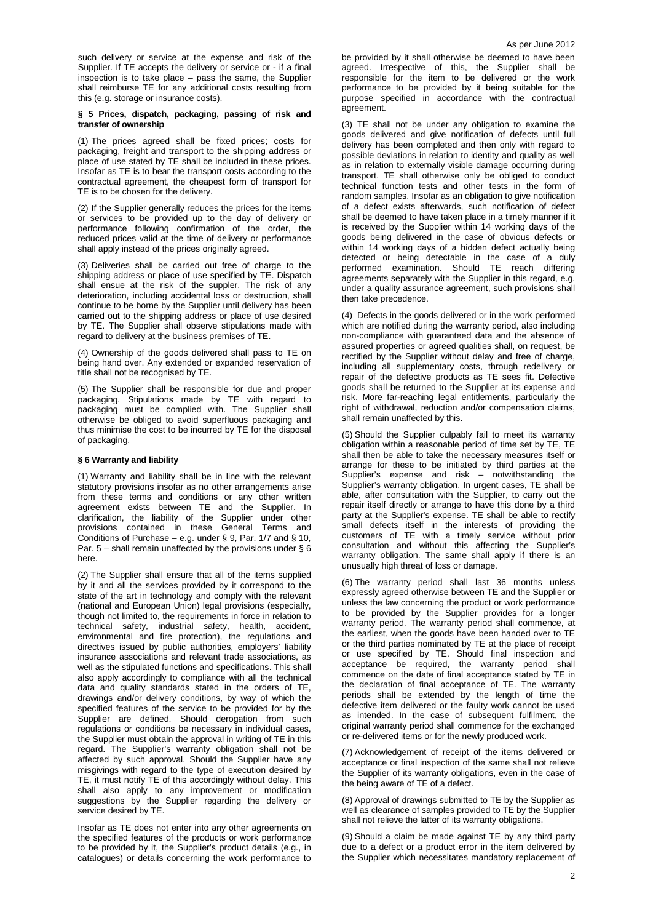such delivery or service at the expense and risk of the Supplier. If TE accepts the delivery or service or - if a final inspection is to take place – pass the same, the Supplier shall reimburse TE for any additional costs resulting from this (e.g. storage or insurance costs).

## **§ 5 Prices, dispatch, packaging, passing of risk and transfer of ownership**

(1) The prices agreed shall be fixed prices; costs for packaging, freight and transport to the shipping address or place of use stated by TE shall be included in these prices. Insofar as TE is to bear the transport costs according to the contractual agreement, the cheapest form of transport for TE is to be chosen for the delivery.

(2) If the Supplier generally reduces the prices for the items or services to be provided up to the day of delivery or performance following confirmation of the order, the reduced prices valid at the time of delivery or performance shall apply instead of the prices originally agreed.

(3) Deliveries shall be carried out free of charge to the shipping address or place of use specified by TE. Dispatch shall ensue at the risk of the suppler. The risk of any deterioration, including accidental loss or destruction, shall continue to be borne by the Supplier until delivery has been carried out to the shipping address or place of use desired by TE. The Supplier shall observe stipulations made with regard to delivery at the business premises of TE.

(4) Ownership of the goods delivered shall pass to TE on being hand over. Any extended or expanded reservation of title shall not be recognised by TE.

(5) The Supplier shall be responsible for due and proper packaging. Stipulations made by TE with regard to packaging must be complied with. The Supplier shall otherwise be obliged to avoid superfluous packaging and thus minimise the cost to be incurred by TE for the disposal of packaging.

# **§ 6 Warranty and liability**

(1) Warranty and liability shall be in line with the relevant statutory provisions insofar as no other arrangements arise from these terms and conditions or any other written agreement exists between TE and the Supplier. In clarification, the liability of the Supplier under other provisions contained in these General Terms and Conditions of Purchase – e.g. under § 9, Par.  $1/7$  and § 10, Par.  $5$  – shall remain unaffected by the provisions under § 6 here.

(2) The Supplier shall ensure that all of the items supplied by it and all the services provided by it correspond to the state of the art in technology and comply with the relevant (national and European Union) legal provisions (especially, though not limited to, the requirements in force in relation to technical safety, industrial safety, health, accident, environmental and fire protection), the regulations and directives issued by public authorities, employers' liability insurance associations and relevant trade associations, as well as the stipulated functions and specifications. This shall also apply accordingly to compliance with all the technical data and quality standards stated in the orders of TE, drawings and/or delivery conditions, by way of which the specified features of the service to be provided for by the Supplier are defined. Should derogation from such regulations or conditions be necessary in individual cases, the Supplier must obtain the approval in writing of TE in this regard. The Supplier's warranty obligation shall not be affected by such approval. Should the Supplier have any misgivings with regard to the type of execution desired by TE, it must notify TE of this accordingly without delay. This shall also apply to any improvement or modification suggestions by the Supplier regarding the delivery or service desired by TE.

Insofar as TE does not enter into any other agreements on the specified features of the products or work performance to be provided by it, the Supplier's product details (e.g., in catalogues) or details concerning the work performance to be provided by it shall otherwise be deemed to have been agreed. Irrespective of this, the Supplier shall be responsible for the item to be delivered or the work performance to be provided by it being suitable for the purpose specified in accordance with the contractual agreement.

(3) TE shall not be under any obligation to examine the goods delivered and give notification of defects until full delivery has been completed and then only with regard to possible deviations in relation to identity and quality as well as in relation to externally visible damage occurring during transport. TE shall otherwise only be obliged to conduct technical function tests and other tests in the form of random samples. Insofar as an obligation to give notification of a defect exists afterwards, such notification of defect shall be deemed to have taken place in a timely manner if it is received by the Supplier within 14 working days of the goods being delivered in the case of obvious defects or within 14 working days of a hidden defect actually being detected or being detectable in the case of a duly performed examination. Should TE reach differing agreements separately with the Supplier in this regard, e.g. under a quality assurance agreement, such provisions shall then take precedence.

(4) Defects in the goods delivered or in the work performed which are notified during the warranty period, also including non-compliance with guaranteed data and the absence of assured properties or agreed qualities shall, on request, be rectified by the Supplier without delay and free of charge, including all supplementary costs, through redelivery or repair of the defective products as TE sees fit. Defective goods shall be returned to the Supplier at its expense and risk. More far-reaching legal entitlements, particularly the right of withdrawal, reduction and/or compensation claims, shall remain unaffected by this.

(5) Should the Supplier culpably fail to meet its warranty obligation within a reasonable period of time set by TE, TE shall then be able to take the necessary measures itself or arrange for these to be initiated by third parties at the Supplier's expense and risk  $-$  notwithstanding the Supplier's warranty obligation. In urgent cases, TE shall be able, after consultation with the Supplier, to carry out the repair itself directly or arrange to have this done by a third party at the Supplier's expense. TE shall be able to rectify small defects itself in the interests of providing the customers of TE with a timely service without prior consultation and without this affecting the Supplier's warranty obligation. The same shall apply if there is an unusually high threat of loss or damage.

(6) The warranty period shall last 36 months unless expressly agreed otherwise between TE and the Supplier or unless the law concerning the product or work performance to be provided by the Supplier provides for a longer warranty period. The warranty period shall commence, at the earliest, when the goods have been handed over to TE or the third parties nominated by TE at the place of receipt or use specified by TE. Should final inspection and acceptance be required, the warranty period shall commence on the date of final acceptance stated by TE in the declaration of final acceptance of TE. The warranty periods shall be extended by the length of time the defective item delivered or the faulty work cannot be used as intended. In the case of subsequent fulfilment, the original warranty period shall commence for the exchanged or re-delivered items or for the newly produced work.

(7) Acknowledgement of receipt of the items delivered or acceptance or final inspection of the same shall not relieve the Supplier of its warranty obligations, even in the case of the being aware of TE of a defect.

(8) Approval of drawings submitted to TE by the Supplier as well as clearance of samples provided to TE by the Supplier shall not relieve the latter of its warranty obligations.

(9) Should a claim be made against TE by any third party due to a defect or a product error in the item delivered by the Supplier which necessitates mandatory replacement of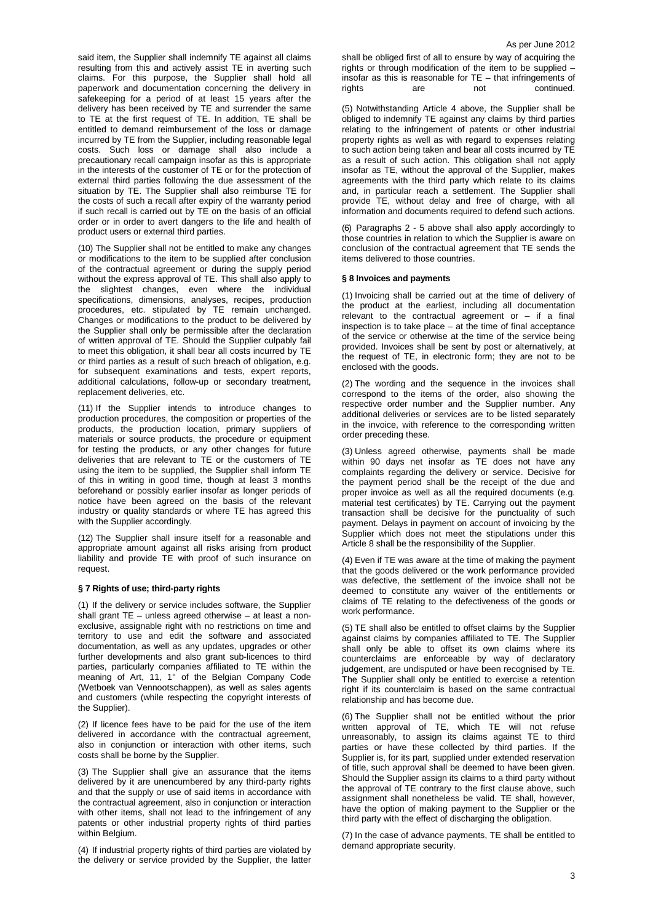said item, the Supplier shall indemnify TE against all claims resulting from this and actively assist TE in averting such claims. For this purpose, the Supplier shall hold all paperwork and documentation concerning the delivery in safekeeping for a period of at least 15 years after the delivery has been received by TE and surrender the same to TE at the first request of TE. In addition, TE shall be entitled to demand reimbursement of the loss or damage incurred by TE from the Supplier, including reasonable legal costs. Such loss or damage shall also include a precautionary recall campaign insofar as this is appropriate in the interests of the customer of TE or for the protection of external third parties following the due assessment of the situation by TE. The Supplier shall also reimburse TE for the costs of such a recall after expiry of the warranty period if such recall is carried out by TE on the basis of an official order or in order to avert dangers to the life and health of product users or external third parties.

(10) The Supplier shall not be entitled to make any changes or modifications to the item to be supplied after conclusion of the contractual agreement or during the supply period without the express approval of TE. This shall also apply to the slightest changes, even where the individual specifications, dimensions, analyses, recipes, production procedures, etc. stipulated by TE remain unchanged. Changes or modifications to the product to be delivered by the Supplier shall only be permissible after the declaration of written approval of TE. Should the Supplier culpably fail to meet this obligation, it shall bear all costs incurred by TE or third parties as a result of such breach of obligation, e.g. for subsequent examinations and tests, expert reports, additional calculations, follow-up or secondary treatment, replacement deliveries, etc.

(11) If the Supplier intends to introduce changes to production procedures, the composition or properties of the products, the production location, primary suppliers of materials or source products, the procedure or equipment for testing the products, or any other changes for future deliveries that are relevant to TE or the customers of TE using the item to be supplied, the Supplier shall inform TE of this in writing in good time, though at least 3 months beforehand or possibly earlier insofar as longer periods of notice have been agreed on the basis of the relevant industry or quality standards or where TE has agreed this with the Supplier accordingly.

(12) The Supplier shall insure itself for a reasonable and appropriate amount against all risks arising from product liability and provide TE with proof of such insurance on request.

### **§ 7 Rights of use; third-party rights**

(1) If the delivery or service includes software, the Supplier shall grant TE – unless agreed otherwise – at least a nonexclusive, assignable right with no restrictions on time and territory to use and edit the software and associated documentation, as well as any updates, upgrades or other further developments and also grant sub-licences to third parties, particularly companies affiliated to TE within the meaning of Art, 11, 1° of the Belgian Company Code (Wetboek van Vennootschappen), as well as sales agents and customers (while respecting the copyright interests of the Supplier).

(2) If licence fees have to be paid for the use of the item delivered in accordance with the contractual agreement, also in conjunction or interaction with other items, such costs shall be borne by the Supplier.

(3) The Supplier shall give an assurance that the items delivered by it are unencumbered by any third-party rights and that the supply or use of said items in accordance with the contractual agreement, also in conjunction or interaction with other items, shall not lead to the infringement of any patents or other industrial property rights of third parties within Belgium.

(4) If industrial property rights of third parties are violated by the delivery or service provided by the Supplier, the latter shall be obliged first of all to ensure by way of acquiring the rights or through modification of the item to be supplied – insofar as this is reasonable for  $TE$  – that infringements of rights  $are$ continued.

(5) Notwithstanding Article 4 above, the Supplier shall be obliged to indemnify TE against any claims by third parties relating to the infringement of patents or other industrial property rights as well as with regard to expenses relating to such action being taken and bear all costs incurred by TE as a result of such action. This obligation shall not apply insofar as TE, without the approval of the Supplier, makes agreements with the third party which relate to its claims and, in particular reach a settlement. The Supplier shall provide TE, without delay and free of charge, with all information and documents required to defend such actions.

(6) Paragraphs 2 - 5 above shall also apply accordingly to those countries in relation to which the Supplier is aware on conclusion of the contractual agreement that TE sends the items delivered to those countries.

# **§ 8 Invoices and payments**

(1) Invoicing shall be carried out at the time of delivery of the product at the earliest, including all documentation relevant to the contractual agreement or  $-$  if a final inspection is to take place – at the time of final acceptance of the service or otherwise at the time of the service being provided. Invoices shall be sent by post or alternatively, at the request of TE, in electronic form; they are not to be enclosed with the goods.

(2) The wording and the sequence in the invoices shall correspond to the items of the order, also showing the respective order number and the Supplier number. Any additional deliveries or services are to be listed separately in the invoice, with reference to the corresponding written order preceding these.

(3) Unless agreed otherwise, payments shall be made within 90 days net insofar as TE does not have any complaints regarding the delivery or service. Decisive for the payment period shall be the receipt of the due and proper invoice as well as all the required documents (e.g. material test certificates) by TE. Carrying out the payment transaction shall be decisive for the punctuality of such payment. Delays in payment on account of invoicing by the Supplier which does not meet the stipulations under this Article 8 shall be the responsibility of the Supplier.

(4) Even if TE was aware at the time of making the payment that the goods delivered or the work performance provided was defective, the settlement of the invoice shall not be deemed to constitute any waiver of the entitlements or claims of TE relating to the defectiveness of the goods or work performance.

(5) TE shall also be entitled to offset claims by the Supplier against claims by companies affiliated to TE. The Supplier shall only be able to offset its own claims where its counterclaims are enforceable by way of declaratory judgement, are undisputed or have been recognised by TE. The Supplier shall only be entitled to exercise a retention right if its counterclaim is based on the same contractual relationship and has become due.

(6) The Supplier shall not be entitled without the prior written approval of TE, which TE will not refuse unreasonably, to assign its claims against TE to third parties or have these collected by third parties. If the Supplier is, for its part, supplied under extended reservation of title, such approval shall be deemed to have been given. Should the Supplier assign its claims to a third party without the approval of TE contrary to the first clause above, such assignment shall nonetheless be valid. TE shall, however, have the option of making payment to the Supplier or the third party with the effect of discharging the obligation.

(7) In the case of advance payments, TE shall be entitled to demand appropriate security.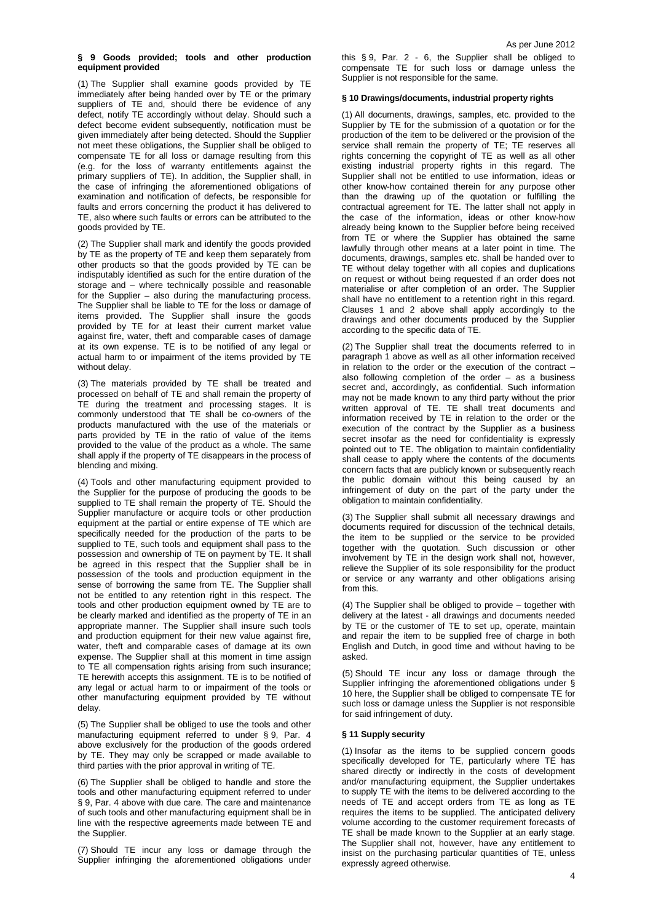# **§ 9 Goods provided; tools and other production equipment provided**

(1) The Supplier shall examine goods provided by TE immediately after being handed over by TE or the primary suppliers of TE and, should there be evidence of any defect, notify TE accordingly without delay. Should such a defect become evident subsequently, notification must be given immediately after being detected. Should the Supplier not meet these obligations, the Supplier shall be obliged to compensate TE for all loss or damage resulting from this (e.g. for the loss of warranty entitlements against the primary suppliers of TE). In addition, the Supplier shall, in the case of infringing the aforementioned obligations of examination and notification of defects, be responsible for faults and errors concerning the product it has delivered to TE, also where such faults or errors can be attributed to the goods provided by TE.

(2) The Supplier shall mark and identify the goods provided by TE as the property of TE and keep them separately from other products so that the goods provided by TE can be indisputably identified as such for the entire duration of the storage and – where technically possible and reasonable for the Supplier – also during the manufacturing process. The Supplier shall be liable to TE for the loss or damage of items provided. The Supplier shall insure the goods provided by TE for at least their current market value against fire, water, theft and comparable cases of damage at its own expense. TE is to be notified of any legal or actual harm to or impairment of the items provided by TE without delay.

(3) The materials provided by TE shall be treated and processed on behalf of TE and shall remain the property of TE during the treatment and processing stages. It is commonly understood that TE shall be co-owners of the products manufactured with the use of the materials or parts provided by TE in the ratio of value of the items provided to the value of the product as a whole. The same shall apply if the property of TE disappears in the process of blending and mixing.

(4) Tools and other manufacturing equipment provided to the Supplier for the purpose of producing the goods to be supplied to TE shall remain the property of TE. Should the Supplier manufacture or acquire tools or other production equipment at the partial or entire expense of TE which are specifically needed for the production of the parts to be supplied to TE, such tools and equipment shall pass to the possession and ownership of TE on payment by TE. It shall be agreed in this respect that the Supplier shall be in possession of the tools and production equipment in the sense of borrowing the same from TE. The Supplier shall not be entitled to any retention right in this respect. The tools and other production equipment owned by TE are to be clearly marked and identified as the property of TE in an appropriate manner. The Supplier shall insure such tools and production equipment for their new value against fire, water, theft and comparable cases of damage at its own expense. The Supplier shall at this moment in time assign to TE all compensation rights arising from such insurance; TE herewith accepts this assignment. TE is to be notified of any legal or actual harm to or impairment of the tools or other manufacturing equipment provided by TE without delay.

(5) The Supplier shall be obliged to use the tools and other manufacturing equipment referred to under § 9, Par. 4 above exclusively for the production of the goods ordered by TE. They may only be scrapped or made available to third parties with the prior approval in writing of TE.

(6) The Supplier shall be obliged to handle and store the tools and other manufacturing equipment referred to under § 9, Par. 4 above with due care. The care and maintenance of such tools and other manufacturing equipment shall be in line with the respective agreements made between TE and the Supplier.

(7) Should TE incur any loss or damage through the Supplier infringing the aforementioned obligations under this § 9, Par. 2 - 6, the Supplier shall be obliged to compensate TE for such loss or damage unless the Supplier is not responsible for the same.

# **§ 10 Drawings/documents, industrial property rights**

(1) All documents, drawings, samples, etc. provided to the Supplier by TE for the submission of a quotation or for the production of the item to be delivered or the provision of the service shall remain the property of TE; TE reserves all rights concerning the copyright of TE as well as all other existing industrial property rights in this regard. The Supplier shall not be entitled to use information, ideas or other know-how contained therein for any purpose other than the drawing up of the quotation or fulfilling the contractual agreement for TE. The latter shall not apply in the case of the information, ideas or other know-how already being known to the Supplier before being received from TE or where the Supplier has obtained the same lawfully through other means at a later point in time. The documents, drawings, samples etc. shall be handed over to TE without delay together with all copies and duplications on request or without being requested if an order does not materialise or after completion of an order. The Supplier shall have no entitlement to a retention right in this regard. Clauses 1 and 2 above shall apply accordingly to the drawings and other documents produced by the Supplier according to the specific data of TE.

(2) The Supplier shall treat the documents referred to in paragraph 1 above as well as all other information received in relation to the order or the execution of the contract – also following completion of the order – as a business secret and, accordingly, as confidential. Such information may not be made known to any third party without the prior written approval of TE. TE shall treat documents and information received by TE in relation to the order or the execution of the contract by the Supplier as a business secret insofar as the need for confidentiality is expressly pointed out to TE. The obligation to maintain confidentiality shall cease to apply where the contents of the documents concern facts that are publicly known or subsequently reach the public domain without this being caused by an infringement of duty on the part of the party under the obligation to maintain confidentiality.

(3) The Supplier shall submit all necessary drawings and documents required for discussion of the technical details, the item to be supplied or the service to be provided together with the quotation. Such discussion or other involvement by TE in the design work shall not, however, relieve the Supplier of its sole responsibility for the product or service or any warranty and other obligations arising from this.

(4) The Supplier shall be obliged to provide – together with delivery at the latest - all drawings and documents needed by TE or the customer of TE to set up, operate, maintain and repair the item to be supplied free of charge in both English and Dutch, in good time and without having to be asked.

(5) Should TE incur any loss or damage through the Supplier infringing the aforementioned obligations under § 10 here, the Supplier shall be obliged to compensate TE for such loss or damage unless the Supplier is not responsible for said infringement of duty.

# **§ 11 Supply security**

(1) Insofar as the items to be supplied concern goods specifically developed for TE, particularly where TE has shared directly or indirectly in the costs of development and/or manufacturing equipment, the Supplier undertakes to supply TE with the items to be delivered according to the needs of TE and accept orders from TE as long as TE requires the items to be supplied. The anticipated delivery volume according to the customer requirement forecasts of TE shall be made known to the Supplier at an early stage. The Supplier shall not, however, have any entitlement to insist on the purchasing particular quantities of TE, unless expressly agreed otherwise.